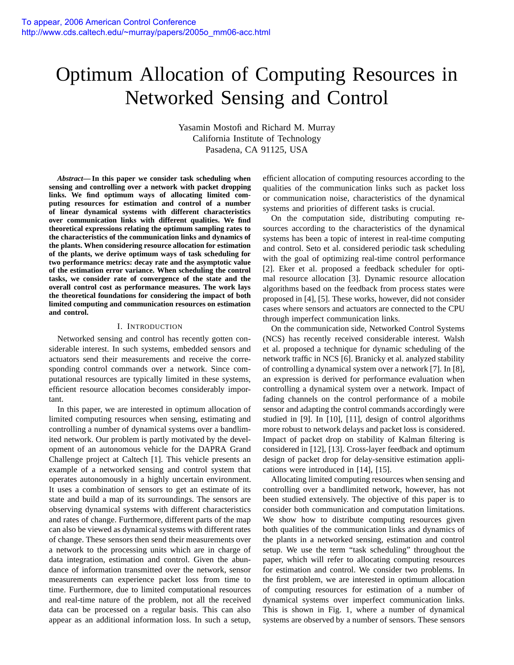# Optimum Allocation of Computing Resources in Networked Sensing and Control

Yasamin Mostofi and Richard M. Murray California Institute of Technology Pasadena, CA 91125, USA

*Abstract***— In this paper we consider task scheduling when sensing and controlling over a network with packet dropping links. We find optimum ways of allocating limited computing resources for estimation and control of a number of linear dynamical systems with different characteristics over communication links with different qualities. We find theoretical expressions relating the optimum sampling rates to the characteristics of the communication links and dynamics of the plants. When considering resource allocation for estimation of the plants, we derive optimum ways of task scheduling for two performance metrics: decay rate and the asymptotic value of the estimation error variance. When scheduling the control tasks, we consider rate of convergence of the state and the overall control cost as performance measures. The work lays the theoretical foundations for considering the impact of both limited computing and communication resources on estimation and control.**

## I. INTRODUCTION

Networked sensing and control has recently gotten considerable interest. In such systems, embedded sensors and actuators send their measurements and receive the corresponding control commands over a network. Since computational resources are typically limited in these systems, efficient resource allocation becomes considerably important.

In this paper, we are interested in optimum allocation of limited computing resources when sensing, estimating and controlling a number of dynamical systems over a bandlimited network. Our problem is partly motivated by the development of an autonomous vehicle for the DAPRA Grand Challenge project at Caltech [1]. This vehicle presents an example of a networked sensing and control system that operates autonomously in a highly uncertain environment. It uses a combination of sensors to get an estimate of its state and build a map of its surroundings. The sensors are observing dynamical systems with different characteristics and rates of change. Furthermore, different parts of the map can also be viewed as dynamical systems with different rates of change. These sensors then send their measurements over a network to the processing units which are in charge of data integration, estimation and control. Given the abundance of information transmitted over the network, sensor measurements can experience packet loss from time to time. Furthermore, due to limited computational resources and real-time nature of the problem, not all the received data can be processed on a regular basis. This can also appear as an additional information loss. In such a setup,

efficient allocation of computing resources according to the qualities of the communication links such as packet loss or communication noise, characteristics of the dynamical systems and priorities of different tasks is crucial.

On the computation side, distributing computing resources according to the characteristics of the dynamical systems has been a topic of interest in real-time computing and control. Seto et al. considered periodic task scheduling with the goal of optimizing real-time control performance [2]. Eker et al. proposed a feedback scheduler for optimal resource allocation [3]. Dynamic resource allocation algorithms based on the feedback from process states were proposed in [4], [5]. These works, however, did not consider cases where sensors and actuators are connected to the CPU through imperfect communication links.

On the communication side, Networked Control Systems (NCS) has recently received considerable interest. Walsh et al. proposed a technique for dynamic scheduling of the network traffic in NCS [6]. Branicky et al. analyzed stability of controlling a dynamical system over a network [7]. In [8], an expression is derived for performance evaluation when controlling a dynamical system over a network. Impact of fading channels on the control performance of a mobile sensor and adapting the control commands accordingly were studied in [9]. In [10], [11], design of control algorithms more robust to network delays and packet loss is considered. Impact of packet drop on stability of Kalman filtering is considered in [12], [13]. Cross-layer feedback and optimum design of packet drop for delay-sensitive estimation applications were introduced in [14], [15].

Allocating limited computing resources when sensing and controlling over a bandlimited network, however, has not been studied extensively. The objective of this paper is to consider both communication and computation limitations. We show how to distribute computing resources given both qualities of the communication links and dynamics of the plants in a networked sensing, estimation and control setup. We use the term "task scheduling" throughout the paper, which will refer to allocating computing resources for estimation and control. We consider two problems. In the first problem, we are interested in optimum allocation of computing resources for estimation of a number of dynamical systems over imperfect communication links. This is shown in Fig. 1, where a number of dynamical systems are observed by a number of sensors. These sensors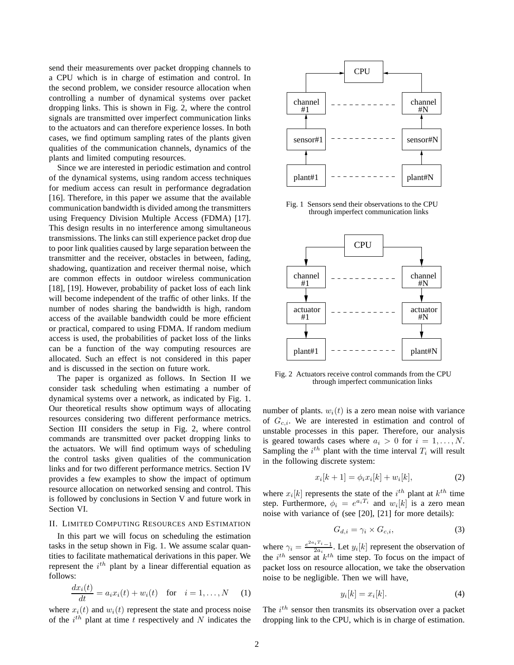send their measurements over packet dropping channels to a CPU which is in charge of estimation and control. In the second problem, we consider resource allocation when controlling a number of dynamical systems over packet dropping links. This is shown in Fig. 2, where the control signals are transmitted over imperfect communication links to the actuators and can therefore experience losses. In both cases, we find optimum sampling rates of the plants given qualities of the communication channels, dynamics of the plants and limited computing resources.

Since we are interested in periodic estimation and control of the dynamical systems, using random access techniques for medium access can result in performance degradation [16]. Therefore, in this paper we assume that the available communication bandwidth is divided among the transmitters using Frequency Division Multiple Access (FDMA) [17]. This design results in no interference among simultaneous transmissions. The links can still experience packet drop due to poor link qualities caused by large separation between the transmitter and the receiver, obstacles in between, fading, shadowing, quantization and receiver thermal noise, which are common effects in outdoor wireless communication [18], [19]. However, probability of packet loss of each link will become independent of the traffic of other links. If the number of nodes sharing the bandwidth is high, random access of the available bandwidth could be more efficient or practical, compared to using FDMA. If random medium access is used, the probabilities of packet loss of the links can be a function of the way computing resources are allocated. Such an effect is not considered in this paper and is discussed in the section on future work.

The paper is organized as follows. In Section II we consider task scheduling when estimating a number of dynamical systems over a network, as indicated by Fig. 1. Our theoretical results show optimum ways of allocating resources considering two different performance metrics. Section III considers the setup in Fig. 2, where control commands are transmitted over packet dropping links to the actuators. We will find optimum ways of scheduling the control tasks given qualities of the communication links and for two different performance metrics. Section IV provides a few examples to show the impact of optimum resource allocation on networked sensing and control. This is followed by conclusions in Section V and future work in Section VI.

## II. LIMITED COMPUTING RESOURCES AND ESTIMATION

In this part we will focus on scheduling the estimation tasks in the setup shown in Fig. 1. We assume scalar quantities to facilitate mathematical derivations in this paper. We represent the  $i^{th}$  plant by a linear differential equation as follows:

$$
\frac{dx_i(t)}{dt} = a_i x_i(t) + w_i(t) \quad \text{for} \quad i = 1, \dots, N \quad (1)
$$

where  $x_i(t)$  and  $w_i(t)$  represent the state and process noise of the  $i^{th}$  plant at time t respectively and N indicates the



Fig. 1 Sensors send their observations to the CPU through imperfect communication links



Fig. 2 Actuators receive control commands from the CPU through imperfect communication links

number of plants.  $w_i(t)$  is a zero mean noise with variance of  $G_{c,i}$ . We are interested in estimation and control of unstable processes in this paper. Therefore, our analysis is geared towards cases where  $a_i > 0$  for  $i = 1, \ldots, N$ . Sampling the  $i^{th}$  plant with the time interval  $T_i$  will result in the following discrete system:

$$
x_i[k+1] = \phi_i x_i[k] + w_i[k],
$$
 (2)

where  $x_i[k]$  represents the state of the  $i^{th}$  plant at  $k^{th}$  time step. Furthermore,  $\phi_i = e^{a_i T_i}$  and  $w_i[k]$  is a zero mean noise with variance of (see [20], [21] for more details):

$$
G_{d,i} = \gamma_i \times G_{c,i},\tag{3}
$$

where  $\gamma_i = \frac{e^{2a_i T_i} - 1}{2a_i}$ . Let  $y_i[k]$  represent the observation of the  $i^{th}$  sensor at  $k^{th}$  time step. To focus on the impact of packet loss on resource allocation, we take the observation noise to be negligible. Then we will have,

$$
y_i[k] = x_i[k].\tag{4}
$$

The  $i^{th}$  sensor then transmits its observation over a packet dropping link to the CPU, which is in charge of estimation.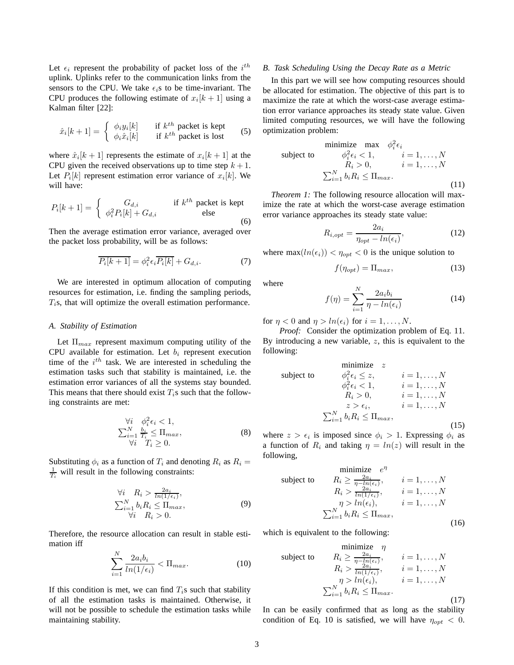Let  $\epsilon_i$  represent the probability of packet loss of the  $i^{th}$ uplink. Uplinks refer to the communication links from the sensors to the CPU. We take  $\epsilon_i$ s to be time-invariant. The CPU produces the following estimate of  $x_i[k+1]$  using a Kalman filter [22]:

$$
\hat{x}_i[k+1] = \begin{cases} \phi_i y_i[k] & \text{if } k^{th} \text{ packet is kept} \\ \phi_i \hat{x}_i[k] & \text{if } k^{th} \text{ packet is lost} \end{cases}
$$
(5)

where  $\hat{x}_i[k+1]$  represents the estimate of  $x_i[k+1]$  at the CPU given the received observations up to time step  $k + 1$ . Let  $P_i[k]$  represent estimation error variance of  $x_i[k]$ . We will have:

$$
P_i[k+1] = \begin{cases} G_{d,i} & \text{if } k^{th} \text{ packet is kept} \\ \phi_i^2 P_i[k] + G_{d,i} & \text{else} \end{cases}
$$
 (6)

Then the average estimation error variance, averaged over the packet loss probability, will be as follows:

$$
\overline{P_i[k+1]} = \phi_i^2 \epsilon_i \overline{P_i[k]} + G_{d,i}.
$$
\n(7)

We are interested in optimum allocation of computing resources for estimation, i.e. finding the sampling periods,  $T_i$ s, that will optimize the overall estimation performance.

#### *A. Stability of Estimation*

Let  $\Pi_{max}$  represent maximum computing utility of the CPU available for estimation. Let  $b_i$  represent execution time of the  $i^{th}$  task. We are interested in scheduling the estimation tasks such that stability is maintained, i.e. the estimation error variances of all the systems stay bounded. This means that there should exist  $T_i$ s such that the following constraints are met:

$$
\begin{array}{ll}\n\forall i & \phi_i^2 \epsilon_i < 1, \\
\sum_{i=1}^N \frac{b_i}{T_i} \le \Pi_{max}, \\
\forall i & T_i \ge 0.\n\end{array} \tag{8}
$$

Substituting  $\phi_i$  as a function of  $T_i$  and denoting  $R_i$  as  $R_i =$  $\frac{1}{T_i}$  will result in the following constraints:

$$
\forall i \quad R_i > \frac{2a_i}{\ln(1/\epsilon_i)},
$$
  
\n
$$
\sum_{i=1}^{N} b_i R_i \le \Pi_{max},
$$
  
\n
$$
\forall i \quad R_i > 0.
$$
\n(9)

Therefore, the resource allocation can result in stable estimation iff

$$
\sum_{i=1}^{N} \frac{2a_i b_i}{\ln(1/\epsilon_i)} < \Pi_{max}.\tag{10}
$$

If this condition is met, we can find  $T_i$ s such that stability of all the estimation tasks is maintained. Otherwise, it will not be possible to schedule the estimation tasks while maintaining stability.

## *B. Task Scheduling Using the Decay Rate as a Metric*

In this part we will see how computing resources should be allocated for estimation. The objective of this part is to maximize the rate at which the worst-case average estimation error variance approaches its steady state value. Given limited computing resources, we will have the following optimization problem:

$$
\begin{array}{ll}\n\text{minimize} & \max \quad \phi_i^2 \epsilon_i \\
\text{subject to} & \phi_i^2 \epsilon_i < 1, \quad i = 1, \dots, N \\
& R_i > 0, \quad i = 1, \dots, N \\
& \sum_{i=1}^N b_i R_i \le \Pi_{\text{max}}.\n\end{array} \tag{11}
$$

*Theorem 1:* The following resource allocation will maximize the rate at which the worst-case average estimation error variance approaches its steady state value:

$$
R_{i,opt} = \frac{2a_i}{\eta_{opt} - \ln(\epsilon_i)},\tag{12}
$$

where  $\max(ln(\epsilon_i)) < \eta_{opt} < 0$  is the unique solution to

$$
f(\eta_{opt}) = \Pi_{max},\tag{13}
$$

where

$$
f(\eta) = \sum_{i=1}^{N} \frac{2a_i b_i}{\eta - \ln(\epsilon_i)}
$$
(14)

for  $\eta < 0$  and  $\eta > ln(\epsilon_i)$  for  $i = 1, ..., N$ .

*Proof:* Consider the optimization problem of Eq. 11. By introducing a new variable,  $z$ , this is equivalent to the following:

$$
\begin{array}{ll}\n\text{minimize} & z \\
\text{subject to} & \phi_i^2 \epsilon_i \le z, & i = 1, \dots, N \\
& \phi_i^2 \epsilon_i < 1, & i = 1, \dots, N \\
& R_i > 0, & i = 1, \dots, N \\
& z > \epsilon_i, & i = 1, \dots, N \\
& \sum_{i=1}^N b_i R_i \le \Pi_{max},\n\end{array} \tag{15}
$$

where  $z > \epsilon_i$  is imposed since  $\phi_i > 1$ . Expressing  $\phi_i$  as a function of  $R_i$  and taking  $\eta = \ln(z)$  will result in the following,

$$
\begin{array}{ll}\n\text{minimize} & e^{\eta} \\
\text{subject to} & R_i \ge \frac{2a_i}{\eta - \ln(\epsilon_i)}, \qquad i = 1, \dots, N \\
& R_i > \frac{2a_i}{\ln(1/\epsilon_i)}, \qquad i = 1, \dots, N \\
& \eta > \ln(\epsilon_i), \qquad i = 1, \dots, N \\
& \sum_{i=1}^N b_i R_i \le \Pi_{\text{max}},\n\end{array} \tag{16}
$$

which is equivalent to the following:

$$
\begin{array}{ll}\n\text{minimize} & \eta \\
\text{subject to} & R_i \ge \frac{2a_i}{\eta - 1h(\epsilon_i)}, \qquad i = 1, \dots, N \\
& R_i > \frac{2a_i}{\ln(1/\epsilon_i)}, \qquad i = 1, \dots, N \\
& \eta > \ln(\epsilon_i), \qquad i = 1, \dots, N \\
& \sum_{i=1}^N b_i R_i \le \Pi_{\text{max}}.\n\end{array} \tag{17}
$$

In can be easily confirmed that as long as the stability condition of Eq. 10 is satisfied, we will have  $\eta_{opt} < 0$ .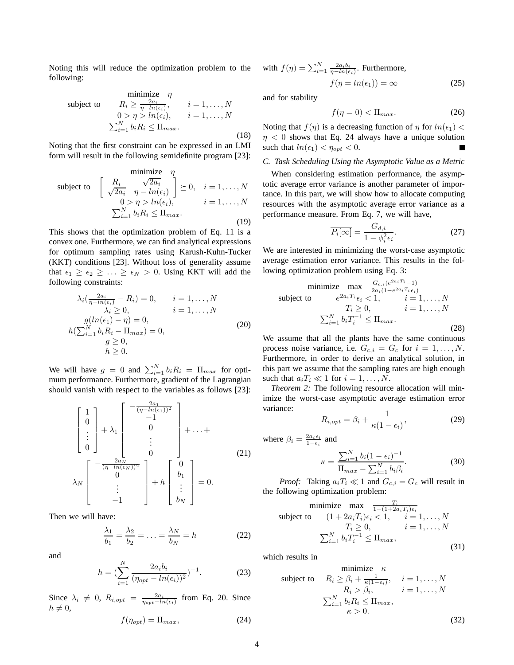Noting this will reduce the optimization problem to the following:

minimize  $\eta$ subject to  $R_i \ge \frac{2a_i}{\eta - \ln(\epsilon_i)}, \qquad i = 1, \dots, N$  $0 > \eta > ln(\epsilon_i), \quad i = 1, \ldots, N$  $\sum_{i=1}^{N} b_i R_i \leq \Pi_{max}.$ (18)

Noting that the first constraint can be expressed in an LMI form will result in the following semidefinite program [23]:

$$
\begin{array}{ll}\n\text{minimize} & \eta \\
\text{subject to} & \left[ \begin{array}{cc} R_i & \sqrt{2a_i} \\ \sqrt{2a_i} & \eta - \ln(\epsilon_i) \end{array} \right] \succeq 0, \quad i = 1, \dots, N \\
& 0 > \eta > \ln(\epsilon_i), \qquad i = 1, \dots, N \\
& \sum_{i=1}^N b_i R_i \leq \Pi_{max}.\n\end{array} \tag{19}
$$

This shows that the optimization problem of Eq. 11 is a convex one. Furthermore, we can find analytical expressions for optimum sampling rates using Karush-Kuhn-Tucker (KKT) conditions [23]. Without loss of generality assume that  $\epsilon_1 \geq \epsilon_2 \geq \ldots \geq \epsilon_N > 0$ . Using KKT will add the following constraints:

$$
\lambda_i \left( \frac{2a_i}{\eta - \ln(\epsilon_i)} - R_i \right) = 0, \qquad i = 1, \dots, N
$$
  
\n
$$
\lambda_i \ge 0, \qquad i = 1, \dots, N
$$
  
\n
$$
g(\ln(\epsilon_1) - \eta) = 0,
$$
  
\n
$$
h(\sum_{i=1}^N b_i R_i - \Pi_{max}) = 0,
$$
  
\n
$$
g \ge 0,
$$
  
\n
$$
h \ge 0.
$$
\n(20)

We will have  $g = 0$  and  $\sum_{i=1}^{N} b_i R_i = \prod_{max}$  for optimum performance. Furthermore, gradient of the Lagrangian should vanish with respect to the variables as follows [23]:

$$
\begin{bmatrix} 1 \\ 0 \\ \vdots \\ 0 \end{bmatrix} + \lambda_1 \begin{bmatrix} -\frac{2a_1}{(\eta - \ln(\epsilon_1))^2} \\ -1 \\ 0 \\ \vdots \\ 0 \end{bmatrix} + \ldots + \begin{bmatrix} -\frac{2a_N}{(\eta - \ln(\epsilon_N))^2} \\ \vdots \\ 0 \\ 0 \end{bmatrix} + \ldots + \tag{21}
$$

$$
\lambda_N \begin{bmatrix} -\frac{2a_N}{(\eta - \ln(\epsilon_N))^2} \\ 0 \\ \vdots \\ -1 \end{bmatrix} + h \begin{bmatrix} 0 \\ b_1 \\ \vdots \\ b_N \end{bmatrix} = 0.
$$

Then we will have:

$$
\frac{\lambda_1}{b_1} = \frac{\lambda_2}{b_2} = \dots = \frac{\lambda_N}{b_N} = h \tag{22}
$$

and

$$
h = \left(\sum_{i=1}^{N} \frac{2a_i b_i}{(\eta_{opt} - \ln(\epsilon_i))^2}\right)^{-1}.
$$
 (23)

Since  $\lambda_i \neq 0$ ,  $R_{i,opt} = \frac{2a_i}{\eta_{opt} - ln(\epsilon_i)}$  from Eq. 20. Since  $h \neq 0,$ 

$$
f(\eta_{opt}) = \Pi_{max},\tag{24}
$$

with 
$$
f(\eta) = \sum_{i=1}^{N} \frac{2a_i b_i}{\eta - \ln(\epsilon_i)}
$$
. Furthermore,  

$$
f(\eta = \ln(\epsilon_1)) = \infty
$$
 (25)

and for stability

$$
f(\eta = 0) < \Pi_{\text{max}}.\tag{26}
$$

Noting that  $f(\eta)$  is a decreasing function of  $\eta$  for  $ln(\epsilon_1)$  <  $\eta$  < 0 shows that Eq. 24 always have a unique solution such that  $ln(\epsilon_1) < \eta_{opt} < 0$ .

#### *C. Task Scheduling Using the Asymptotic Value as a Metric*

When considering estimation performance, the asymptotic average error variance is another parameter of importance. In this part, we will show how to allocate computing resources with the asymptotic average error variance as a performance measure. From Eq. 7, we will have,

$$
\overline{P_i[\infty]} = \frac{G_{d,i}}{1 - \phi_i^2 \epsilon_i}.
$$
\n(27)

We are interested in minimizing the worst-case asymptotic average estimation error variance. This results in the following optimization problem using Eq. 3:

minimize 
$$
\max_{2a_i} \frac{G_{c,i}(e^{2a_i T_i} - 1)}{2a_i(1 - e^{2a_i T_i} \epsilon_i)}
$$
  
\nsubject to  $e^{2a_i T_i} \epsilon_i < 1, \quad i = 1, ..., N$   
\n $T_i \ge 0, \quad i = 1, ..., N$   
\n $\sum_{i=1}^N b_i T_i^{-1} \le \Pi_{max}.$  (28)

We assume that all the plants have the same continuous process noise variance, i.e.  $G_{c,i} = G_c$  for  $i = 1, ..., N$ . Furthermore, in order to derive an analytical solution, in this part we assume that the sampling rates are high enough such that  $a_i T_i \ll 1$  for  $i = 1, \ldots, N$ .

*Theorem 2:* The following resource allocation will minimize the worst-case asymptotic average estimation error variance:

$$
R_{i,opt} = \beta_i + \frac{1}{\kappa(1 - \epsilon_i)},\tag{29}
$$

 $(30)$ 

where 
$$
\beta_i = \frac{2a_i\epsilon_i}{1-\epsilon_i}
$$
 and  

$$
\kappa = \frac{\sum_{i=1}^N b_i (1-\epsilon_i)^{-1}}{\prod_{max} - \sum_{i=1}^N b_i \beta_i}.
$$

*Proof:* Taking  $a_iT_i \ll 1$  and  $G_{c,i} = G_c$  will result in the following optimization problem:

minimize 
$$
\max \frac{T_i}{1-(1+2a_iT_i)\epsilon_i}
$$
  
\nsubject to  $(1+2a_iT_i)\epsilon_i < 1, \quad i = 1, ..., N$   
\n $T_i \ge 0, \quad i = 1, ..., N$   
\n $\sum_{i=1}^N b_i T_i^{-1} \le \Pi_{max},$  (31)

which results in

$$
\begin{array}{ll}\n\text{minimize} & \kappa \\
\text{subject to} & R_i \ge \beta_i + \frac{1}{\kappa(1-\epsilon_i)}, \quad i = 1, \dots, N \\
& R_i > \beta_i, \quad i = 1, \dots, N \\
& \sum_{i=1}^N b_i R_i \le \Pi_{max}, \\
& \kappa > 0.\n\end{array}
$$
\n
$$
(32)
$$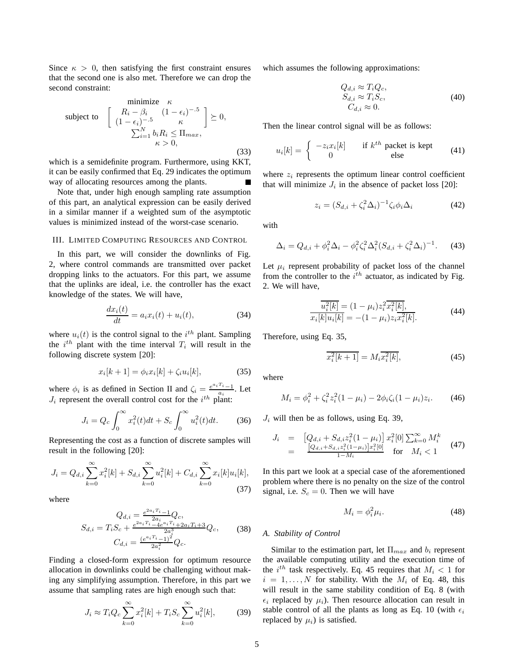Since  $\kappa > 0$ , then satisfying the first constraint ensures that the second one is also met. Therefore we can drop the second constraint:

$$
\begin{array}{ll}\n\text{minimize} & \kappa \\
\text{subject to} & \left[ \begin{array}{cc} R_i - \beta_i & (1 - \epsilon_i)^{-.5} \\ (1 - \epsilon_i)^{-.5} & \kappa \end{array} \right] \succeq 0, \\
\sum_{i=1}^N b_i R_i \le \Pi_{max}, \\
\kappa > 0,\n\end{array} \tag{33}
$$

which is a semidefinite program. Furthermore, using KKT, it can be easily confirmed that Eq. 29 indicates the optimum way of allocating resources among the plants.

Note that, under high enough sampling rate assumption of this part, an analytical expression can be easily derived in a similar manner if a weighted sum of the asymptotic values is minimized instead of the worst-case scenario.

## III. LIMITED COMPUTING RESOURCES AND CONTROL

In this part, we will consider the downlinks of Fig. 2, where control commands are transmitted over packet dropping links to the actuators. For this part, we assume that the uplinks are ideal, i.e. the controller has the exact knowledge of the states. We will have,

$$
\frac{dx_i(t)}{dt} = a_i x_i(t) + u_i(t),\tag{34}
$$

where  $u_i(t)$  is the control signal to the  $i^{th}$  plant. Sampling the  $i^{th}$  plant with the time interval  $T_i$  will result in the following discrete system [20]:

$$
x_i[k+1] = \phi_i x_i[k] + \zeta_i u_i[k], \tag{35}
$$

where  $\phi_i$  is as defined in Section II and  $\zeta_i = \frac{e^{a_i T_i} - 1}{a_i}$ . Let  $J_i$  represent the overall control cost for the  $i^{th}$  plant:

$$
J_i = Q_c \int_0^\infty x_i^2(t)dt + S_c \int_0^\infty u_i^2(t)dt.
$$
 (36)

Representing the cost as a function of discrete samples will result in the following [20]:

$$
J_i = Q_{d,i} \sum_{k=0}^{\infty} x_i^2[k] + S_{d,i} \sum_{k=0}^{\infty} u_i^2[k] + C_{d,i} \sum_{k=0}^{\infty} x_i[k]u_i[k],
$$
\n(37)

where

$$
Q_{d,i} = \frac{e^{2a_i T_i} - 1}{2a_i} Q_c,
$$
  
\n
$$
S_{d,i} = T_i S_c + \frac{e^{2a_i T_i} - 4e^{a_i T_i} + 2a_i T_i + 3}{2a_i^3} Q_c,
$$
 (38)  
\n
$$
C_{d,i} = \frac{(e^{a_i T_i} - 1)^2}{2a_i^2} Q_c.
$$

Finding a closed-form expression for optimum resource allocation in downlinks could be challenging without making any simplifying assumption. Therefore, in this part we assume that sampling rates are high enough such that:

$$
J_i \approx T_i Q_c \sum_{k=0}^{\infty} x_i^2[k] + T_i S_c \sum_{k=0}^{\infty} u_i^2[k],
$$
 (39)

which assumes the following approximations:

$$
Q_{d,i} \approx T_i Q_c, \nS_{d,i} \approx T_i S_c, \nC_{d,i} \approx 0.
$$
\n(40)

Then the linear control signal will be as follows:

$$
u_i[k] = \begin{cases} -z_i x_i[k] & \text{if } k^{th} \text{ packet is kept} \\ 0 & \text{else} \end{cases} \tag{41}
$$

where  $z_i$  represents the optimum linear control coefficient that will minimize  $J_i$  in the absence of packet loss [20]:

$$
z_i = (S_{d,i} + \zeta_i^2 \Delta_i)^{-1} \zeta_i \phi_i \Delta_i \tag{42}
$$

with

$$
\Delta_i = Q_{d,i} + \phi_i^2 \Delta_i - \phi_i^2 \zeta_i^2 \Delta_i^2 (S_{d,i} + \zeta_i^2 \Delta_i)^{-1}.
$$
 (43)

Let  $\mu_i$  represent probability of packet loss of the channel from the controller to the  $i^{th}$  actuator, as indicated by Fig. 2. We will have,

$$
\frac{\overline{u_i^2[k]} = (1 - \mu_i) z_i^2 \overline{x_i^2[k]},}{x_i[k]u_i[k] = -(1 - \mu_i) z_i \overline{x_i^2[k]}.
$$
\n(44)

Therefore, using Eq. 35,

$$
\overline{x_i^2[k+1]} = M_i \overline{x_i^2[k]},
$$
\n(45)

where

$$
M_i = \phi_i^2 + \zeta_i^2 z_i^2 (1 - \mu_i) - 2\phi_i \zeta_i (1 - \mu_i) z_i.
$$
 (46)

 $J_i$  will then be as follows, using Eq. 39,

$$
J_i = [Q_{d,i} + S_{d,i}z_i^2(1 - \mu_i)] x_i^2[0] \sum_{k=0}^{\infty} M_i^k
$$
  
= 
$$
\frac{[Q_{d,i} + S_{d,i}z_i^2(1 - \mu_i)]x_i^2[0]}{1 - M_i}
$$
 for  $M_i < 1$  (47)

In this part we look at a special case of the aforementioned problem where there is no penalty on the size of the control signal, i.e.  $S_c = 0$ . Then we will have

$$
M_i = \phi_i^2 \mu_i. \tag{48}
$$

#### *A. Stability of Control*

Similar to the estimation part, let  $\Pi_{max}$  and  $b_i$  represent the available computing utility and the execution time of the  $i^{th}$  task respectively. Eq. 45 requires that  $M_i < 1$  for  $i = 1, \ldots, N$  for stability. With the  $M_i$  of Eq. 48, this will result in the same stability condition of Eq. 8 (with  $\epsilon_i$  replaced by  $\mu_i$ ). Then resource allocation can result in stable control of all the plants as long as Eq. 10 (with  $\epsilon_i$ replaced by  $\mu_i$ ) is satisfied.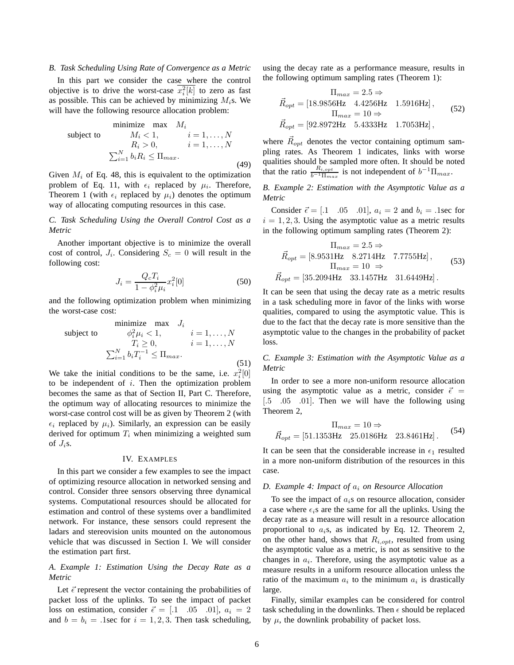## *B. Task Scheduling Using Rate of Convergence as a Metric*

In this part we consider the case where the control objective is to drive the worst-case  $x_i^2[k]$  to zero as fast as possible. This can be achieved by minimizing  $M_i$ s. We will have the following resource allocation problem:

$$
\begin{array}{ll}\n\text{minimize} & \text{max} & M_i \\
\text{subject to} & M_i < 1, \quad i = 1, \dots, N \\
& R_i > 0, \quad i = 1, \dots, N \\
& \sum_{i=1}^{N} b_i R_i \le \Pi_{max}.\n\end{array} \tag{49}
$$

Given  $M_i$  of Eq. 48, this is equivalent to the optimization problem of Eq. 11, with  $\epsilon_i$  replaced by  $\mu_i$ . Therefore, Theorem 1 (with  $\epsilon_i$  replaced by  $\mu_i$ ) denotes the optimum way of allocating computing resources in this case.

*C. Task Scheduling Using the Overall Control Cost as a Metric*

Another important objective is to minimize the overall cost of control,  $J_i$ . Considering  $S_c = 0$  will result in the following cost:

$$
J_i = \frac{Q_c T_i}{1 - \phi_i^2 \mu_i} x_i^2[0]
$$
 (50)

and the following optimization problem when minimizing the worst-case cost:

$$
\begin{array}{ll}\n\text{minimize} & \text{max} \quad J_i \\
\text{subject to} & \phi_i^2 \mu_i < 1, \quad i = 1, \dots, N \\
& T_i \ge 0, \quad i = 1, \dots, N \\
& \sum_{i=1}^N b_i T_i^{-1} \le \Pi_{\text{max}}.\n\end{array} \tag{51}
$$

We take the initial conditions to be the same, i.e.  $x_i^2[0]$ to be independent of  $i$ . Then the optimization problem becomes the same as that of Section II, Part C. Therefore, the optimum way of allocating resources to minimize the worst-case control cost will be as given by Theorem 2 (with  $\epsilon_i$  replaced by  $\mu_i$ ). Similarly, an expression can be easily derived for optimum  $T_i$  when minimizing a weighted sum of  $J_i$ s.

#### IV. EXAMPLES

In this part we consider a few examples to see the impact of optimizing resource allocation in networked sensing and control. Consider three sensors observing three dynamical systems. Computational resources should be allocated for estimation and control of these systems over a bandlimited network. For instance, these sensors could represent the ladars and stereovision units mounted on the autonomous vehicle that was discussed in Section I. We will consider the estimation part first.

## *A. Example 1: Estimation Using the Decay Rate as a Metric*

Let  $\vec{\epsilon}$  represent the vector containing the probabilities of packet loss of the uplinks. To see the impact of packet loss on estimation, consider  $\vec{\epsilon} = [0.1 \ 0.05 \ 0.01], a_i = 2$ and  $b = b_i = 0.1$ sec for  $i = 1, 2, 3$ . Then task scheduling,

using the decay rate as a performance measure, results in the following optimum sampling rates (Theorem 1):

$$
\Pi_{max} = 2.5 \Rightarrow
$$
\n
$$
\vec{R}_{opt} = [18.9856Hz \quad 4.4256Hz \quad 1.5916Hz],
$$
\n
$$
\Pi_{max} = 10 \Rightarrow
$$
\n
$$
\vec{R}_{opt} = [92.8972Hz \quad 5.4333Hz \quad 1.7053Hz],
$$
\n(52)

where  $\vec{R}_{opt}$  denotes the vector containing optimum sampling rates. As Theorem 1 indicates, links with worse qualities should be sampled more often. It should be noted that the ratio  $\frac{R_{i,opt}}{b^{-1}\Pi_{max}}$  is not independent of  $b^{-1}\Pi_{max}$ .

*B. Example 2: Estimation with the Asymptotic Value as a Metric*

Consider  $\vec{\epsilon} = [0.1 \ 0.05 \ 0.01], a_i = 2$  and  $b_i = 0.1$  isec for  $i = 1, 2, 3$ . Using the asymptotic value as a metric results in the following optimum sampling rates (Theorem 2):

$$
\Pi_{max} = 2.5 \Rightarrow
$$
\n
$$
\vec{R}_{opt} = [8.9531 \text{Hz} \quad 8.2714 \text{Hz} \quad 7.7755 \text{Hz}],
$$
\n
$$
\Pi_{max} = 10 \Rightarrow
$$
\n
$$
\vec{R}_{opt} = [35.2094 \text{Hz} \quad 33.1457 \text{Hz} \quad 31.6449 \text{Hz}].
$$
\n(53)

It can be seen that using the decay rate as a metric results in a task scheduling more in favor of the links with worse qualities, compared to using the asymptotic value. This is due to the fact that the decay rate is more sensitive than the asymptotic value to the changes in the probability of packet loss.

*C. Example 3: Estimation with the Asymptotic Value as a Metric*

In order to see a more non-uniform resource allocation using the asymptotic value as a metric, consider  $\vec{\epsilon}$  = [.5 .05 .01]. Then we will have the following using Theorem 2,

$$
\Pi_{max} = 10 \Rightarrow
$$
\n
$$
\vec{R}_{opt} = [51.1353 \text{Hz} \quad 25.0186 \text{Hz} \quad 23.8461 \text{Hz}].
$$
\n(54)

It can be seen that the considerable increase in  $\epsilon_1$  resulted in a more non-uniform distribution of the resources in this case.

#### *D. Example 4: Impact of* a<sup>i</sup> *on Resource Allocation*

To see the impact of  $a_i$ s on resource allocation, consider a case where  $\epsilon_i$ s are the same for all the uplinks. Using the decay rate as a measure will result in a resource allocation proportional to  $a_i$ s, as indicated by Eq. 12. Theorem 2, on the other hand, shows that  $R_{i,opt}$ , resulted from using the asymptotic value as a metric, is not as sensitive to the changes in  $a_i$ . Therefore, using the asymptotic value as a measure results in a uniform resource allocation unless the ratio of the maximum  $a_i$  to the minimum  $a_i$  is drastically large.

Finally, similar examples can be considered for control task scheduling in the downlinks. Then  $\epsilon$  should be replaced by  $\mu$ , the downlink probability of packet loss.